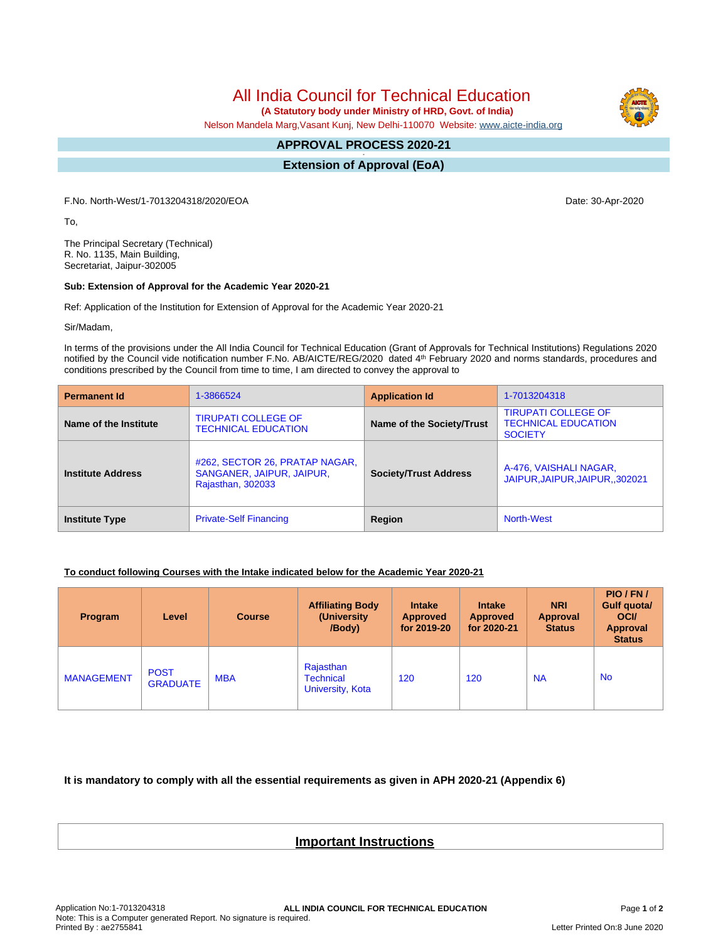All India Council for Technical Education

 **(A Statutory body under Ministry of HRD, Govt. of India)**

Nelson Mandela Marg,Vasant Kunj, New Delhi-110070 Website: [www.aicte-india.org](http://www.aicte-india.org)

## **APPROVAL PROCESS 2020-21 -**

**Extension of Approval (EoA)**

F.No. North-West/1-7013204318/2020/EOA Date: 30-Apr-2020

To,

The Principal Secretary (Technical) R. No. 1135, Main Building, Secretariat, Jaipur-302005

## **Sub: Extension of Approval for the Academic Year 2020-21**

Ref: Application of the Institution for Extension of Approval for the Academic Year 2020-21

Sir/Madam,

In terms of the provisions under the All India Council for Technical Education (Grant of Approvals for Technical Institutions) Regulations 2020 notified by the Council vide notification number F.No. AB/AICTE/REG/2020 dated 4<sup>th</sup> February 2020 and norms standards, procedures and conditions prescribed by the Council from time to time, I am directed to convey the approval to

| <b>Permanent Id</b>      | 1-3866524                                                                        | <b>Application Id</b>        | 1-7013204318                                                               |  |
|--------------------------|----------------------------------------------------------------------------------|------------------------------|----------------------------------------------------------------------------|--|
| Name of the Institute    | <b>TIRUPATI COLLEGE OF</b><br><b>TECHNICAL EDUCATION</b>                         | Name of the Society/Trust    | <b>TIRUPATI COLLEGE OF</b><br><b>TECHNICAL EDUCATION</b><br><b>SOCIETY</b> |  |
| <b>Institute Address</b> | #262, SECTOR 26, PRATAP NAGAR,<br>SANGANER, JAIPUR, JAIPUR,<br>Rajasthan, 302033 | <b>Society/Trust Address</b> | A-476, VAISHALI NAGAR,<br>JAIPUR.JAIPUR.JAIPUR302021                       |  |
| <b>Institute Type</b>    | <b>Private-Self Financing</b>                                                    | Region                       | <b>North-West</b>                                                          |  |

## **To conduct following Courses with the Intake indicated below for the Academic Year 2020-21**

| <b>Program</b>    | Level                          | <b>Course</b> | <b>Affiliating Body</b><br>(University)<br>/Body) | <b>Intake</b><br><b>Approved</b><br>for 2019-20 | <b>Intake</b><br><b>Approved</b><br>for 2020-21 | <b>NRI</b><br>Approval<br><b>Status</b> | PIO/FN/<br>Gulf quota/<br><b>OCI</b><br><b>Approval</b><br><b>Status</b> |
|-------------------|--------------------------------|---------------|---------------------------------------------------|-------------------------------------------------|-------------------------------------------------|-----------------------------------------|--------------------------------------------------------------------------|
| <b>MANAGEMENT</b> | <b>POST</b><br><b>GRADUATE</b> | <b>MBA</b>    | Rajasthan<br><b>Technical</b><br>University, Kota | 120                                             | 120                                             | <b>NA</b>                               | <b>No</b>                                                                |

**It is mandatory to comply with all the essential requirements as given in APH 2020-21 (Appendix 6)**

## **Important Instructions**